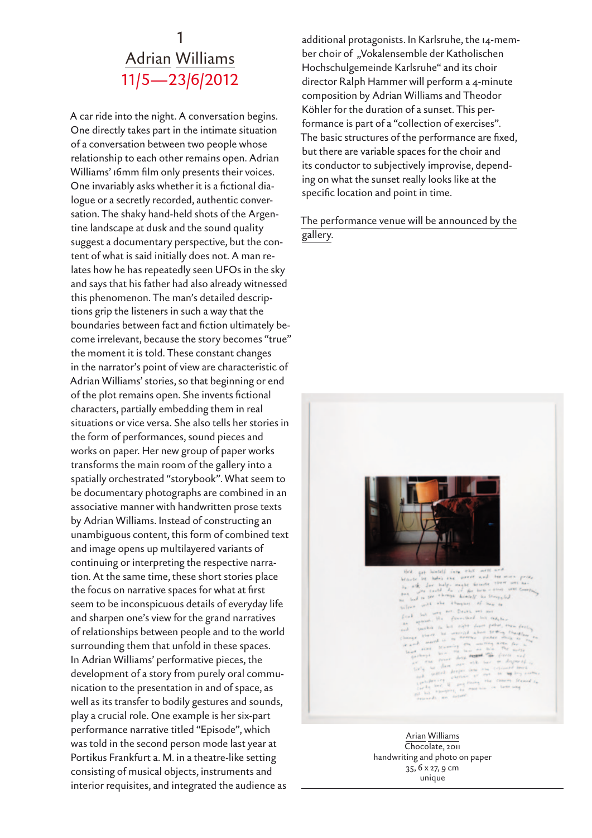## 1 Adrian Williams 11/5—23/6/2012

A car ride into the night. A conversation begins. One directly takes part in the intimate situation of a conversation between two people whose relationship to each other remains open. Adrian Williams' 16mm film only presents their voices. One invariably asks whether it is a fictional dialogue or a secretly recorded, authentic conversation. The shaky hand-held shots of the Argentine landscape at dusk and the sound quality suggest a documentary perspective, but the content of what is said initially does not. A man relates how he has repeatedly seen UFOs in the sky and says that his father had also already witnessed this phenomenon. The man's detailed descriptions grip the listeners in such a way that the boundaries between fact and fiction ultimately become irrelevant, because the story becomes "true" the moment it is told. These constant changes in the narrator's point of view are characteristic of Adrian Williams' stories, so that beginning or end of the plot remains open. She invents fictional characters, partially embedding them in real situations or vice versa. She also tells her stories in the form of performances, sound pieces and works on paper. Her new group of paper works transforms the main room of the gallery into a spatially orchestrated "storybook". What seem to be documentary photographs are combined in an associative manner with handwritten prose texts by Adrian Williams. Instead of constructing an unambiguous content, this form of combined text and image opens up multilayered variants of continuing or interpreting the respective narration. At the same time, these short stories place the focus on narrative spaces for what at first seem to be inconspicuous details of everyday life and sharpen one's view for the grand narratives of relationships between people and to the world surrounding them that unfold in these spaces. In Adrian Williams' performative pieces, the development of a story from purely oral communication to the presentation in and of space, as well as its transfer to bodily gestures and sounds, play a crucial role. One example is her six-part performance narrative titled "Episode", which was told in the second person mode last year at Portikus Frankfurt a. M. in a theatre-like setting consisting of musical objects, instruments and interior requisites, and integrated the audience as

additional protagonists. In Karlsruhe, the 14-member choir of "Vokalensemble der Katholischen Hochschulgemeinde Karlsruhe" and its choir director Ralph Hammer will perform a 4-minute composition by Adrian Williams and Theodor Köhler for the duration of a sunset. This performance is part of a "collection of exercises". The basic structures of the performance are fixed, but there are variable spaces for the choir and its conductor to subjectively improvise, depending on what the sunset really looks like at the specific location and point in time.

The performance venue will be announced by the gallery.



were not to me. be hadrie ere vieret nied terminis pri<br>- Jur biolpi wought Greente them were no<br>re could du us for bick-time were Good rays brately be throughed<br>I thoughts of how to

Arian Williams Chocolate, 2011 handwriting and photo on paper 35, 6 x 27, 9 cm unique